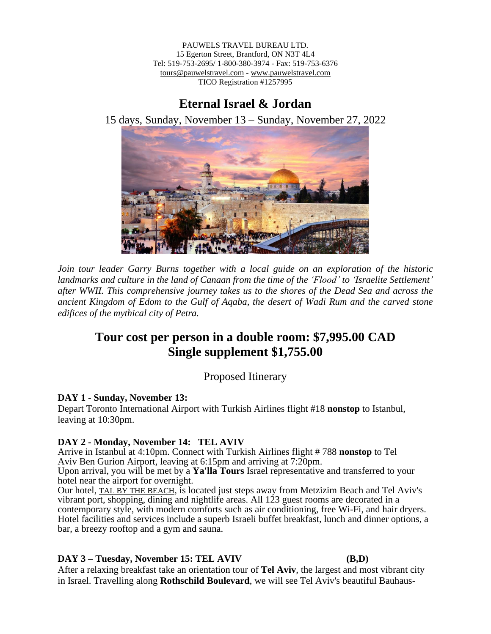PAUWELS TRAVEL BUREAU LTD. 15 Egerton Street, Brantford, ON N3T 4L4 Tel: 519-753-2695/ 1-800-380-3974 - Fax: 519-753-6376 tours@pauwelstravel.com - [www.pauwelstravel.com](http://www.pauwelstravel.com/) TICO Registration #1257995

# **Eternal Israel & Jordan**

15 days, Sunday, November 13 – Sunday, November 27, 2022



*Join tour leader Garry Burns together with a local guide on an exploration of the historic landmarks and culture in the land of Canaan from the time of the 'Flood' to 'Israelite Settlement' after WWII. This comprehensive journey takes us to the shores of the Dead Sea and across the ancient Kingdom of Edom to the Gulf of Aqaba, the desert of Wadi Rum and the carved stone edifices of the mythical city of Petra.*

# **Tour cost per person in a double room: \$7,995.00 CAD Single supplement \$1,755.00**

Proposed Itinerary

## **DAY 1 - Sunday, November 13:**

Depart Toronto International Airport with Turkish Airlines flight #18 **nonstop** to Istanbul, leaving at 10:30pm.

## **DAY 2 - Monday, November 14: TEL AVIV**

Arrive in Istanbul at 4:10pm. Connect with Turkish Airlines flight # 788 **nonstop** to Tel Aviv Ben Gurion Airport, leaving at 6:15pm and arriving at 7:20pm.

Upon arrival, you will be met by a **Ya'lla Tours** Israel representative and transferred to your hotel near the airport for overnight.

Our hotel, TAL BY THE [BEACH](http://www.atlas.co.il/tal-hotel-tel-aviv), is located just steps away from Metzizim Beach and Tel Aviv's vibrant port, shopping, dining and nightlife areas. All 123 guest rooms are decorated in a contemporary style, with modern comforts such as air conditioning, free Wi-Fi, and hair dryers. Hotel facilities and services include a superb Israeli buffet breakfast, lunch and dinner options, a bar, a breezy rooftop and a gym and sauna.

## **DAY 3 – Tuesday, November 15: TEL AVIV (B,D)**

After a relaxing breakfast take an orientation tour of **Tel Aviv**, the largest and most vibrant city in Israel. Travelling along **Rothschild Boulevard**, we will see Tel Aviv's beautiful Bauhaus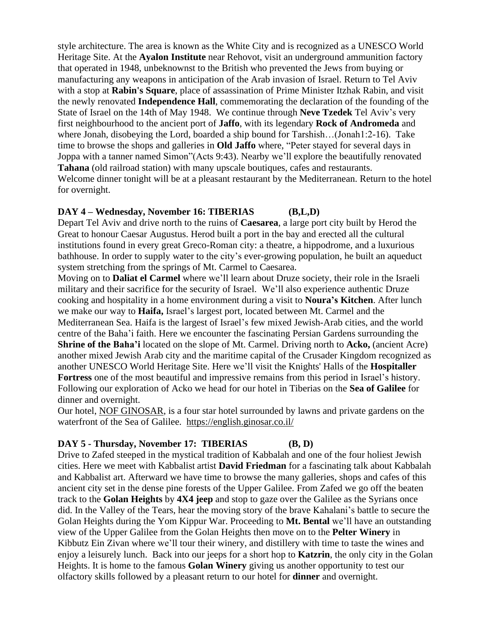style architecture. The area is known as the White City and is recognized as a UNESCO World Heritage Site. At the **Ayalon Institute** near Rehovot, visit an underground ammunition factory that operated in 1948, unbeknownst to the British who prevented the Jews from buying or manufacturing any weapons in anticipation of the Arab invasion of Israel. Return to Tel Aviv with a stop at **Rabin's Square**, place of assassination of Prime Minister Itzhak Rabin, and visit the newly renovated **Independence Hall**, commemorating the declaration of the founding of the State of Israel on the 14th of May 1948. We continue through **Neve Tzedek** Tel Aviv's very first neighbourhood to the ancient port of **Jaffo**, with its legendary **Rock of Andromeda** and where Jonah, disobeying the Lord, boarded a ship bound for Tarshish...(Jonah1:2-16). Take time to browse the shops and galleries in **Old Jaffo** where, "Peter stayed for several days in Joppa with a tanner named Simon"(Acts 9:43). Nearby we'll explore the beautifully renovated **Tahana** (old railroad station) with many upscale boutiques, cafes and restaurants. Welcome dinner tonight will be at a pleasant restaurant by the Mediterranean. Return to the hotel for overnight.

#### **DAY 4 – Wednesday, November 16: TIBERIAS (B,L,D)**

Depart Tel Aviv and drive north to the ruins of **Caesarea**, a large port city built by Herod the Great to honour Caesar Augustus. Herod built a port in the bay and erected all the cultural institutions found in every great Greco-Roman city: a theatre, a hippodrome, and a luxurious bathhouse. In order to supply water to the city's ever-growing population, he built an aqueduct system stretching from the springs of Mt. Carmel to Caesarea.

Moving on to **Daliat el Carmel** where we'll learn about Druze society, their role in the Israeli military and their sacrifice for the security of Israel. We'll also experience authentic Druze cooking and hospitality in a home environment during a visit to **Noura's Kitchen**. After lunch we make our way to **Haifa,** Israel's largest port, located between Mt. Carmel and the Mediterranean Sea. Haifa is the largest of Israel's few mixed Jewish-Arab cities, and the world centre of the Baha'i faith. Here we encounter the fascinating Persian Gardens surrounding the **Shrine of the Baha'i** located on the slope of Mt. Carmel. Driving north to **Acko,** (ancient Acre) another mixed Jewish Arab city and the maritime capital of the Crusader Kingdom recognized as another UNESCO World Heritage Site. Here we'll visit the Knights' Halls of the **Hospitaller Fortress** one of the most beautiful and impressive remains from this period in Israel's history. Following our exploration of Acko we head for our hotel in Tiberias on the **Sea of Galilee** for dinner and overnight.

Our hotel, NOF [GINOSAR,](https://www.ginosar.co.il/en/hotel/) is a four star hotel surrounded by lawns and private gardens on the waterfront of the Sea of Galilee. <https://english.ginosar.co.il/>

## **DAY 5 - Thursday, November 17: TIBERIAS (B, D)**

Drive to Zafed steeped in the mystical tradition of Kabbalah and one of the four holiest Jewish cities. Here we meet with Kabbalist artist **David Friedman** for a fascinating talk about Kabbalah and Kabbalist art. Afterward we have time to browse the many galleries, shops and cafes of this ancient city set in the dense pine forests of the Upper Galilee. From Zafed we go off the beaten track to the **Golan Heights** by **4X4 jeep** and stop to gaze over the Galilee as the Syrians once did. In the Valley of the Tears, hear the moving story of the brave Kahalani's battle to secure the Golan Heights during the Yom Kippur War. Proceeding to **Mt. Bental** we'll have an outstanding view of the Upper Galilee from the Golan Heights then move on to the **Pelter Winery** in Kibbutz Ein Zivan where we'll tour their winery, and distillery with time to taste the wines and enjoy a leisurely lunch. Back into our jeeps for a short hop to **Katzrin**, the only city in the Golan Heights. It is home to the famous **Golan Winery** giving us another opportunity to test our olfactory skills followed by a pleasant return to our hotel for **dinner** and overnight.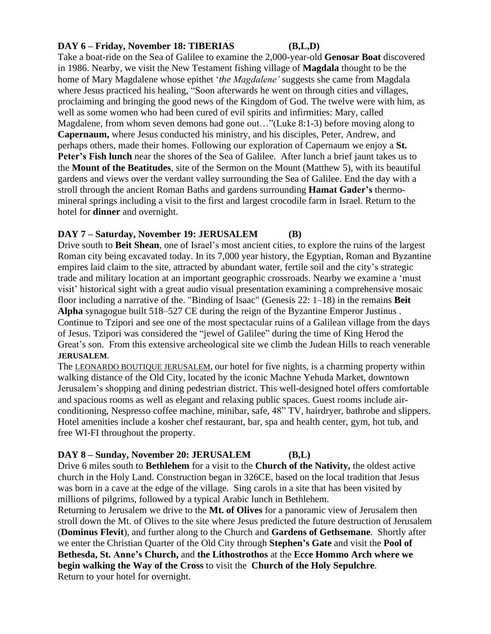## **DAY 6 – Friday, November 18: TIBERIAS (B,L,D)**

Take a boat-ride on the Sea of Galilee to examine the 2,000-year-old **Genosar Boat** discovered in 1986. Nearby, we visit the New Testament fishing village of **Magdala** thought to be the home of Mary Magdalene whose epithet '*the Magdalene'* suggests she came from Magdala where Jesus practiced his healing, "Soon afterwards he went on through cities and villages, proclaiming and bringing the good news of the Kingdom of God. The twelve were with him, as well as some women who had been cured of evil spirits and infirmities: Mary, called Magdalene, from whom seven demons had gone out…"(Luke 8:1-3) before moving along to **Capernaum,** where Jesus conducted his ministry, and his disciples, Peter, Andrew, and perhaps others, made their homes. Following our exploration of Capernaum we enjoy a **St. Peter's Fish lunch** near the shores of the Sea of Galilee. After lunch a brief jaunt takes us to the **Mount of the Beatitudes**, site of the Sermon on the Mount (Matthew 5), with its beautiful gardens and views over the verdant valley surrounding the Sea of Galilee. End the day with a stroll through the ancient Roman Baths and gardens surrounding **Hamat Gader's** thermomineral springs including a visit to the first and largest crocodile farm in Israel. Return to the hotel for **dinner** and overnight.

### **DAY 7 – Saturday, November 19: JERUSALEM (B)**

Drive south to **Beit Shean**, one of Israel's most ancient cities, to explore the ruins of the largest Roman city being excavated today. In its 7,000 year history, the Egyptian, Roman and Byzantine empires laid claim to the site, attracted by abundant water, fertile soil and the city's strategic trade and military location at an important geographic crossroads. Nearby we examine a 'must visit' historical sight with a great audio visual presentation examining a comprehensive mosaic floor including a narrative of the. "Binding of Isaac" (Genesis 22: 1–18) in the remains **Beit Alpha** synagogue built 518–527 CE during the reign of the Byzantine Emperor Justinus . Continue to Tzipori and see one of the most spectacular ruins of a Galilean village from the days of Jesus. Tzipori was considered the "jewel of Galilee" during the time of King Herod the Great's son. From this extensive archeological site we climb the Judean Hills to reach venerable **JERUSALEM**.

The LEONARDO BOUTIQUE [JERUSALEM](https://www.leonardo-hotels.com/leonardo-boutique-jerusalem-hotel), our hotel for five nights, is a charming property within walking distance of the Old City, located by the iconic Machne Yehuda Market, downtown Jerusalem's shopping and dining pedestrian district. This well-designed hotel offers comfortable and spacious rooms as well as elegant and relaxing public spaces. Guest rooms include airconditioning, Nespresso coffee machine, minibar, safe, 48" TV, hairdryer, bathrobe and slippers. Hotel amenities include a kosher chef restaurant, bar, spa and health center, gym, hot tub, and free WI-FI throughout the property.

#### **DAY 8 – Sunday, November 20: JERUSALEM (B,L)**

Drive 6 miles south to **Bethlehem** for a visit to the **Church of the Nativity,** the oldest active church in the Holy Land. Construction began in 326CE, based on the local tradition that Jesus was born in a cave at the edge of the village. Sing carols in a site that has been visited by millions of pilgrims, followed by a typical Arabic lunch in Bethlehem.

Returning to Jerusalem we drive to the **Mt. of Olives** for a panoramic view of Jerusalem then stroll down the Mt. of Olives to the site where Jesus predicted the future destruction of Jerusalem (**Dominus Flevit**), and further along to the Church and **Gardens of Gethsemane**. Shortly after we enter the Christian Quarter of the Old City through **Stephen's Gate** and visit the **Pool of Bethesda, St. Anne's Church,** and **the Lithostrothos** at the **Ecce Hommo Arch where we begin walking the Way of the Cross** to visit the **Church of the Holy Sepulchre**. Return to your hotel for overnight.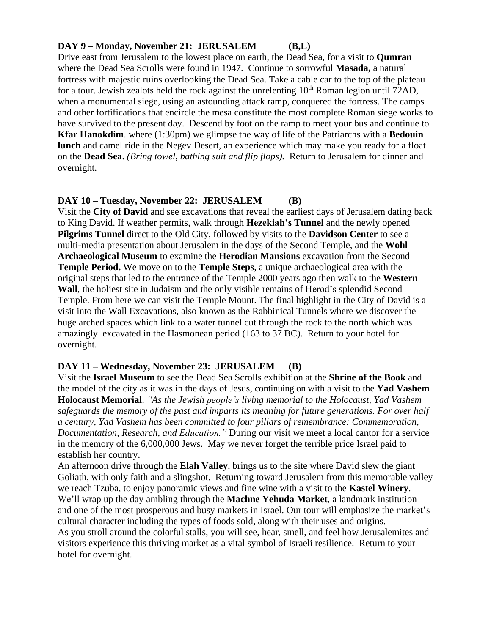### **DAY 9 – Monday, November 21: JERUSALEM (B,L)**

Drive east from Jerusalem to the lowest place on earth, the Dead Sea, for a visit to **Qumran** where the Dead Sea Scrolls were found in 1947. Continue to sorrowful **Masada,** a natural fortress with majestic ruins overlooking the Dead Sea. Take a cable car to the top of the plateau for a tour. Jewish zealots held the rock against the unrelenting  $10<sup>th</sup>$  Roman legion until 72AD, when a monumental siege, using an astounding attack ramp, conquered the fortress. The camps and other fortifications that encircle the mesa constitute the most complete Roman siege works to have survived to the present day. Descend by foot on the ramp to meet your bus and continue to **Kfar Hanokdim**. where (1:30pm) we glimpse the way of life of the Patriarchs with a **Bedouin lunch** and camel ride in the Negev Desert, an experience which may make you ready for a float on the **Dead Sea**. *(Bring towel, bathing suit and flip flops).* Return to Jerusalem for dinner and overnight.

### **DAY 10 – Tuesday, November 22: JERUSALEM (B)**

Visit the **City of David** and see excavations that reveal the earliest days of Jerusalem dating back to King David. If weather permits, walk through **Hezekiah's Tunnel** and the newly opened **Pilgrims Tunnel** direct to the Old City, followed by visits to the **Davidson Center** to see a multi-media presentation about Jerusalem in the days of the Second Temple, and the **Wohl Archaeological Museum** to examine the **Herodian Mansions** excavation from the Second **Temple Period.** We move on to the **Temple Steps**, a unique archaeological area with the original steps that led to the entrance of the Temple 2000 years ago then walk to the **Western Wall**, the holiest site in Judaism and the only visible remains of Herod's splendid Second Temple. From here we can visit the Temple Mount. The final highlight in the City of David is a visit into the Wall Excavations, also known as the Rabbinical Tunnels where we discover the huge arched spaces which link to a water tunnel cut through the rock to the north which was amazingly excavated in the Hasmonean period (163 to 37 BC). Return to your hotel for overnight.

## **DAY 11 – Wednesday, November 23: JERUSALEM (B)**

Visit the **Israel Museum** to see the Dead Sea Scrolls exhibition at the **Shrine of the Book** and the model of the city as it was in the days of Jesus, continuing on with a visit to the **Yad Vashem Holocaust Memorial**. *"As the Jewish people's living memorial to the Holocaust, Yad Vashem safeguards the memory of the past and imparts its meaning for future generations. For over half a century, Yad Vashem has been committed to four pillars of remembrance: Commemoration, Documentation, Research, and Education."* During our visit we meet a local cantor for a service in the memory of the 6,000,000 Jews. May we never forget the terrible price Israel paid to establish her country.

An afternoon drive through the **Elah Valley**, brings us to the site where David slew the giant Goliath, with only faith and a slingshot. Returning toward Jerusalem from this memorable valley we reach Tzuba, to enjoy panoramic views and fine wine with a visit to the **Kastel Winery**. We'll wrap up the day ambling through the **Machne Yehuda Market**, a landmark institution and one of the most prosperous and busy markets in Israel. Our tour will emphasize the market's cultural character including the types of foods sold, along with their uses and origins. As you stroll around the colorful stalls, you will see, hear, smell, and feel how Jerusalemites and visitors experience this thriving market as a vital symbol of Israeli resilience. Return to your hotel for overnight.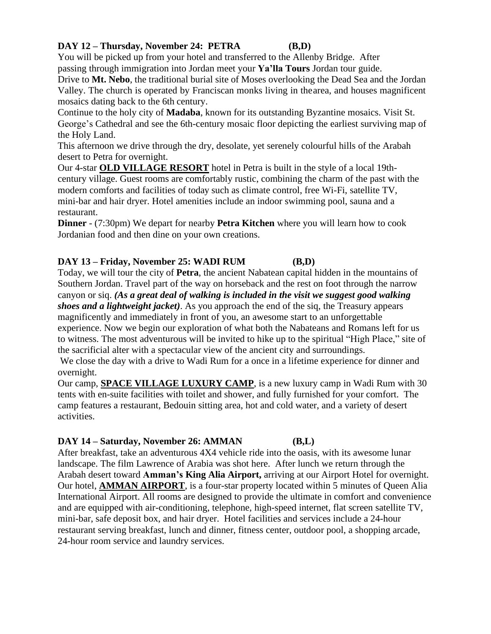## **DAY 12 – Thursday, November 24: PETRA (B,D)**

You will be picked up from your hotel and transferred to the Allenby Bridge. After passing through immigration into Jordan meet your **Ya'lla Tours** Jordan tour guide.

Drive to **Mt. Nebo**, the traditional burial site of Moses overlooking the Dead Sea and the Jordan Valley. The church is operated by Franciscan monks living in thearea, and houses magnificent mosaics dating back to the 6th century.

Continue to the holy city of **Madaba**, known for its outstanding Byzantine mosaics. Visit St. George's Cathedral and see the 6th-century mosaic floor depicting the earliest surviving map of the Holy Land.

This afternoon we drive through the dry, desolate, yet serenely colourful hills of the Arabah desert to Petra for overnight.

Our 4-star **OLD [VILLAGE](http://www.oldvillageresort.com/) RESORT** hotel in Petra is built in the style of a local 19thcentury village. Guest rooms are comfortably rustic, combining the charm of the past with the modern comforts and facilities of today such as climate control, free Wi-Fi, satellite TV, mini-bar and hair dryer. Hotel amenities include an indoor swimming pool, sauna and a restaurant.

**Dinner** - (7:30pm) We depart for nearby **Petra Kitchen** where you will learn how to cook Jordanian food and then dine on your own creations.

## **DAY 13 – Friday, November 25: WADI RUM (B,D)**

Today, we will tour the city of **Petra**, the ancient Nabatean capital hidden in the mountains of Southern Jordan. Travel part of the way on horseback and the rest on foot through the narrow canyon or siq. *(As a great deal of walking is included in the visit we suggest good walking shoes and a lightweight jacket)*. As you approach the end of the siq, the Treasury appears magnificently and immediately in front of you, an awesome start to an unforgettable experience. Now we begin our exploration of what both the Nabateans and Romans left for us to witness. The most adventurous will be invited to hike up to the spiritual "High Place," site of the sacrificial alter with a spectacular view of the ancient city and surroundings.

We close the day with a drive to Wadi Rum for a once in a lifetime experience for dinner and overnight.

Our camp, **SPACE [VILLAGE](http://wadirumspacevillagecamp.com/) LUXURY CAMP**, is a new luxury camp in Wadi Rum with 30 tents with en-suite facilities with toilet and shower, and fully furnished for your comfort. The camp features a restaurant, Bedouin sitting area, hot and cold water, and a variety of desert activities.

## **DAY 14 – Saturday, November 26: AMMAN (B,L)**

After breakfast, take an adventurous 4X4 vehicle ride into the oasis, with its awesome lunar landscape. The film Lawrence of Arabia was shot here. After lunch we return through the Arabah desert toward **Amman's King Alia Airport,** arriving at our Airport Hotel for overnight. Our hotel, **AMMAN [AIRPORT](http://www.ammanairporthotel.com/)**, is a four-star property located within 5 minutes of Queen Alia International Airport. All rooms are designed to provide the ultimate in comfort and convenience and are equipped with air-conditioning, telephone, high-speed internet, flat screen satellite TV, mini-bar, safe deposit box, and hair dryer. Hotel facilities and services include a 24-hour restaurant serving breakfast, lunch and dinner, fitness center, outdoor pool, a shopping arcade, 24-hour room service and laundry services.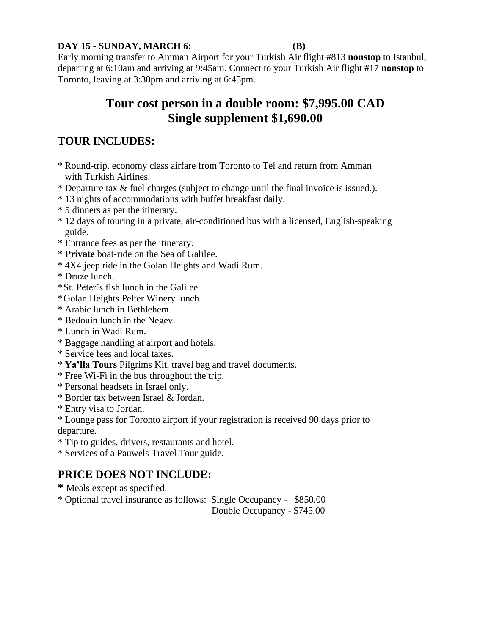### **DAY 15 - SUNDAY, MARCH 6: (B)**

Early morning transfer to Amman Airport for your Turkish Air flight #813 **nonstop** to Istanbul, departing at 6:10am and arriving at 9:45am. Connect to your Turkish Air flight #17 **nonstop** to Toronto, leaving at 3:30pm and arriving at 6:45pm.

# **Tour cost person in a double room: \$7,995.00 CAD Single supplement \$1,690.00**

# **TOUR INCLUDES:**

- \* Round-trip, economy class airfare from Toronto to Tel and return from Amman with Turkish Airlines.
- \* Departure tax & fuel charges (subject to change until the final invoice is issued.).
- \* 13 nights of accommodations with buffet breakfast daily.
- \* 5 dinners as per the itinerary.
- \* 12 days of touring in a private, air-conditioned bus with a licensed, English-speaking guide.
- \* Entrance fees as per the itinerary.
- \* **Private** boat-ride on the Sea of Galilee.
- \* 4X4 jeep ride in the Golan Heights and Wadi Rum.
- \* Druze lunch.
- \*St. Peter's fish lunch in the Galilee.
- \*Golan Heights Pelter Winery lunch
- \* Arabic lunch in Bethlehem.
- \* Bedouin lunch in the Negev.
- \* Lunch in Wadi Rum.
- \* Baggage handling at airport and hotels.
- \* Service fees and local taxes.
- \* **Ya'lla Tours** Pilgrims Kit, travel bag and travel documents.
- \* Free Wi-Fi in the bus throughout the trip.
- \* Personal headsets in Israel only.
- \* Border tax between Israel & Jordan.
- \* Entry visa to Jordan.
- \* Lounge pass for Toronto airport if your registration is received 90 days prior to departure.
- \* Tip to guides, drivers, restaurants and hotel.
- \* Services of a Pauwels Travel Tour guide.

# **PRICE DOES NOT INCLUDE:**

- **\*** Meals except as specified.
- \* Optional travel insurance as follows: Single Occupancy \$850.00

Double Occupancy - \$745.00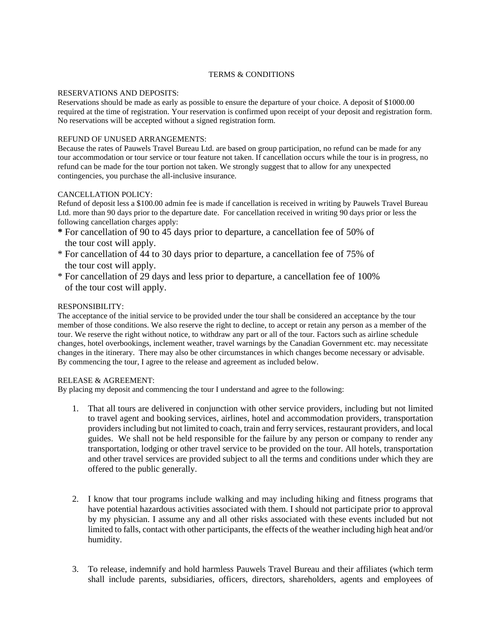#### TERMS & CONDITIONS

#### RESERVATIONS AND DEPOSITS:

Reservations should be made as early as possible to ensure the departure of your choice. A deposit of \$1000.00 required at the time of registration. Your reservation is confirmed upon receipt of your deposit and registration form. No reservations will be accepted without a signed registration form.

#### REFUND OF UNUSED ARRANGEMENTS:

Because the rates of Pauwels Travel Bureau Ltd. are based on group participation, no refund can be made for any tour accommodation or tour service or tour feature not taken. If cancellation occurs while the tour is in progress, no refund can be made for the tour portion not taken. We strongly suggest that to allow for any unexpected contingencies, you purchase the all-inclusive insurance.

#### CANCELLATION POLICY:

Refund of deposit less a \$100.00 admin fee is made if cancellation is received in writing by Pauwels Travel Bureau Ltd. more than 90 days prior to the departure date. For cancellation received in writing 90 days prior or less the following cancellation charges apply:

- **\*** For cancellation of 90 to 45 days prior to departure, a cancellation fee of 50% of the tour cost will apply.
- \* For cancellation of 44 to 30 days prior to departure, a cancellation fee of 75% of the tour cost will apply.
- \* For cancellation of 29 days and less prior to departure, a cancellation fee of 100% of the tour cost will apply.

#### RESPONSIBILITY:

The acceptance of the initial service to be provided under the tour shall be considered an acceptance by the tour member of those conditions. We also reserve the right to decline, to accept or retain any person as a member of the tour. We reserve the right without notice, to withdraw any part or all of the tour. Factors such as airline schedule changes, hotel overbookings, inclement weather, travel warnings by the Canadian Government etc. may necessitate changes in the itinerary. There may also be other circumstances in which changes become necessary or advisable. By commencing the tour, I agree to the release and agreement as included below.

#### RELEASE & AGREEMENT:

By placing my deposit and commencing the tour I understand and agree to the following:

- 1. That all tours are delivered in conjunction with other service providers, including but not limited to travel agent and booking services, airlines, hotel and accommodation providers, transportation providers including but not limited to coach, train and ferry services, restaurant providers, and local guides. We shall not be held responsible for the failure by any person or company to render any transportation, lodging or other travel service to be provided on the tour. All hotels, transportation and other travel services are provided subject to all the terms and conditions under which they are offered to the public generally.
- 2. I know that tour programs include walking and may including hiking and fitness programs that have potential hazardous activities associated with them. I should not participate prior to approval by my physician. I assume any and all other risks associated with these events included but not limited to falls, contact with other participants, the effects of the weather including high heat and/or humidity.
- 3. To release, indemnify and hold harmless Pauwels Travel Bureau and their affiliates (which term shall include parents, subsidiaries, officers, directors, shareholders, agents and employees of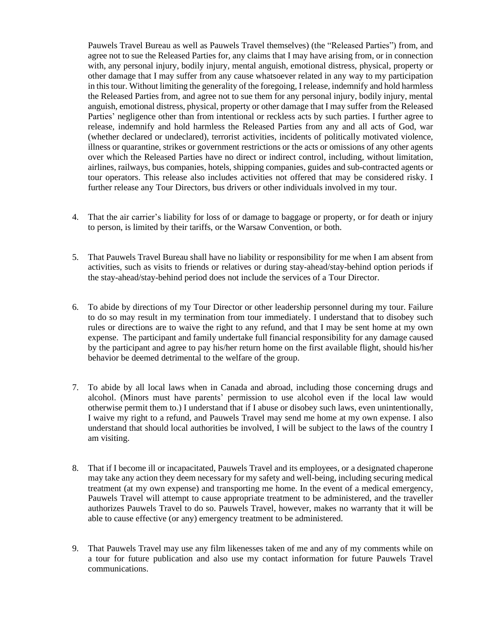Pauwels Travel Bureau as well as Pauwels Travel themselves) (the "Released Parties") from, and agree not to sue the Released Parties for, any claims that I may have arising from, or in connection with, any personal injury, bodily injury, mental anguish, emotional distress, physical, property or other damage that I may suffer from any cause whatsoever related in any way to my participation in thistour. Without limiting the generality of the foregoing, I release, indemnify and hold harmless the Released Parties from, and agree not to sue them for any personal injury, bodily injury, mental anguish, emotional distress, physical, property or other damage that I may suffer from the Released Parties' negligence other than from intentional or reckless acts by such parties. I further agree to release, indemnify and hold harmless the Released Parties from any and all acts of God, war (whether declared or undeclared), terrorist activities, incidents of politically motivated violence, illness or quarantine, strikes or government restrictions or the acts or omissions of any other agents over which the Released Parties have no direct or indirect control, including, without limitation, airlines, railways, bus companies, hotels, shipping companies, guides and sub-contracted agents or tour operators. This release also includes activities not offered that may be considered risky. I further release any Tour Directors, bus drivers or other individuals involved in my tour.

- 4. That the air carrier's liability for loss of or damage to baggage or property, or for death or injury to person, is limited by their tariffs, or the Warsaw Convention, or both.
- 5. That Pauwels Travel Bureau shall have no liability or responsibility for me when I am absent from activities, such as visits to friends or relatives or during stay-ahead/stay-behind option periods if the stay-ahead/stay-behind period does not include the services of a Tour Director.
- 6. To abide by directions of my Tour Director or other leadership personnel during my tour. Failure to do so may result in my termination from tour immediately. I understand that to disobey such rules or directions are to waive the right to any refund, and that I may be sent home at my own expense. The participant and family undertake full financial responsibility for any damage caused by the participant and agree to pay his/her return home on the first available flight, should his/her behavior be deemed detrimental to the welfare of the group.
- 7. To abide by all local laws when in Canada and abroad, including those concerning drugs and alcohol. (Minors must have parents' permission to use alcohol even if the local law would otherwise permit them to.) I understand that if I abuse or disobey such laws, even unintentionally, I waive my right to a refund, and Pauwels Travel may send me home at my own expense. I also understand that should local authorities be involved, I will be subject to the laws of the country I am visiting.
- 8. That if I become ill or incapacitated, Pauwels Travel and its employees, or a designated chaperone may take any action they deem necessary for my safety and well-being, including securing medical treatment (at my own expense) and transporting me home. In the event of a medical emergency, Pauwels Travel will attempt to cause appropriate treatment to be administered, and the traveller authorizes Pauwels Travel to do so. Pauwels Travel, however, makes no warranty that it will be able to cause effective (or any) emergency treatment to be administered.
- 9. That Pauwels Travel may use any film likenesses taken of me and any of my comments while on a tour for future publication and also use my contact information for future Pauwels Travel communications.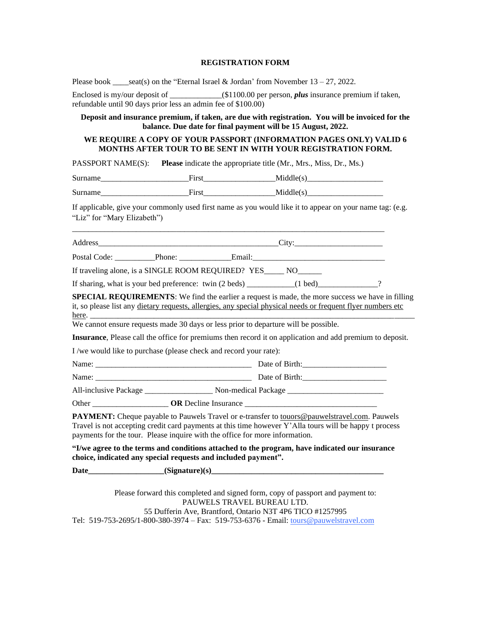#### **REGISTRATION FORM**

Please book \_\_\_\_seat(s) on the "Eternal Israel & Jordan' from November  $13 - 27$ , 2022.

| Enclosed is my/our deposit of                                 | $(1100.00$ per person, <i>plus</i> insurance premium if taken, |  |
|---------------------------------------------------------------|----------------------------------------------------------------|--|
| refundable until 90 days prior less an admin fee of \$100.00) |                                                                |  |

**Deposit and insurance premium, if taken, are due with registration. You will be invoiced for the balance. Due date for final payment will be 15 August, 2022.**

#### **WE REQUIRE A COPY OF YOUR PASSPORT (INFORMATION PAGES ONLY) VALID 6 MONTHS AFTER TOUR TO BE SENT IN WITH YOUR REGISTRATION FORM.**

PASSPORT NAME(S): **Please** indicate the appropriate title (Mr., Mrs., Miss, Dr., Ms.)

| $\sim$<br>O<br>______ | .<br>      | __________   |
|-----------------------|------------|--------------|
| $\sim$                | $\sim$ $-$ | ____________ |
| C.                    | .          | _________    |
|                       |            | _____        |

If applicable, give your commonly used first name as you would like it to appear on your name tag: (e.g. "Liz" for "Mary Elizabeth")

| _________     |      | $-1$      |      |
|---------------|------|-----------|------|
| ________      |      | _________ |      |
| ∍<br>________ | ____ |           | ____ |

\_\_\_\_\_\_\_\_\_\_\_\_\_\_\_\_\_\_\_\_\_\_\_\_\_\_\_\_\_\_\_\_\_\_\_\_\_\_\_\_\_\_\_\_\_\_\_\_\_\_\_\_\_\_\_\_\_\_\_\_\_\_\_\_\_\_\_\_\_\_\_\_\_\_\_\_\_\_

If traveling alone, is a SINGLE ROOM REQUIRED? YES\_\_\_\_\_ NO\_\_\_\_\_\_

If sharing, what is your bed preference: twin  $(2 \text{ beds})$   $(1 \text{ bed})$ 

**SPECIAL REQUIREMENTS**: We find the earlier a request is made, the more success we have in filling it, so please list any dietary requests, allergies, any special physical needs or frequent flyer numbers etc here. \_\_\_\_\_\_\_\_\_\_\_\_\_\_\_\_\_\_\_\_\_\_\_\_\_\_\_\_\_\_\_\_\_\_\_\_\_\_\_\_\_\_\_\_\_\_\_\_\_\_\_\_\_\_\_\_\_\_\_\_\_\_\_\_\_\_\_\_\_\_\_\_\_\_\_\_\_\_\_\_\_

We cannot ensure requests made 30 days or less prior to departure will be possible.

**Insurance**, Please call the office for premiums then record it on application and add premium to deposit.

I /we would like to purchase (please check and record your rate):

| Name:                 | Date of Birth:      |
|-----------------------|---------------------|
| Name:                 | Date of Birth:      |
| All-inclusive Package | Non-medical Package |

Other \_\_\_\_\_\_\_\_\_\_\_\_\_\_\_\_\_\_\_ **OR** Decline Insurance \_\_\_\_\_\_\_\_\_\_\_\_\_\_\_\_\_\_\_\_\_\_\_\_\_\_\_\_\_\_\_\_\_

**PAYMENT:** Cheque payable to Pauwels Travel or e-transfer to [touors@pauwelstravel.com.](mailto:touors@pauwelstravel.com) Pauwels Travel is not accepting credit card payments at this time however Y'Alla tours will be happy t process payments for the tour. Please inquire with the office for more information.

**"I/we agree to the terms and conditions attached to the program, have indicated our insurance choice, indicated any special requests and included payment".**

Date (Signature)(s)

Please forward this completed and signed form, copy of passport and payment to: PAUWELS TRAVEL BUREAU LTD. 55 Dufferin Ave, Brantford, Ontario N3T 4P6 TICO #1257995 Tel: 519-753-2695/1-800-380-3974 – Fax: 519-753-6376 - Email: [tours@pauwelstravel.com](mailto:tours@pauwelstravel.com)